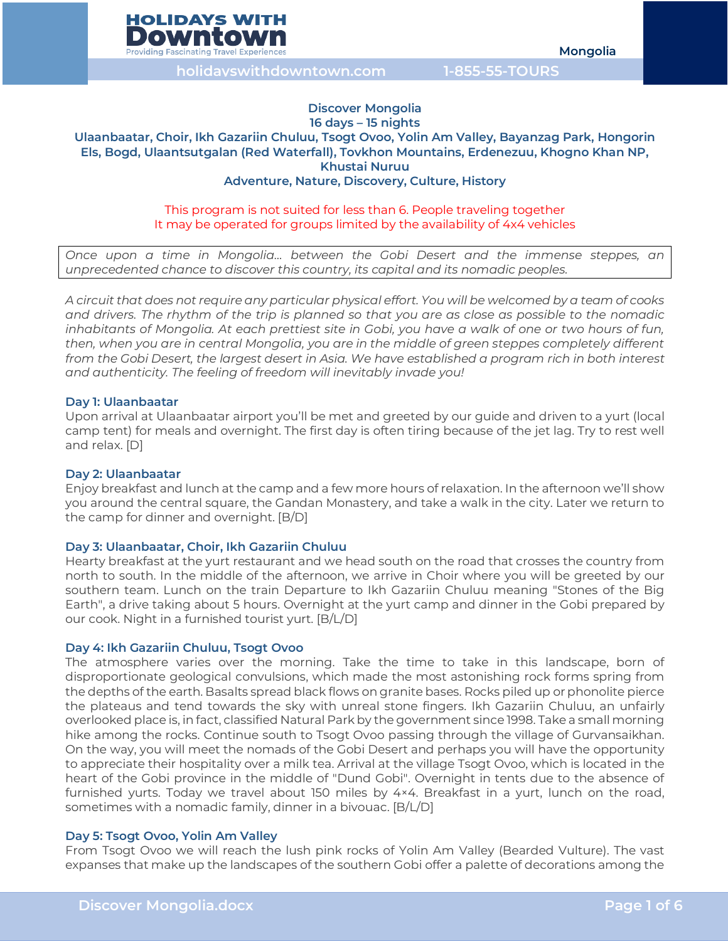

# **Discover Mongolia**

### **16 days – 15 nights Ulaanbaatar, Choir, Ikh Gazariin Chuluu, Tsogt Ovoo, Yolin Am Valley, Bayanzag Park, Hongorin Els, Bogd, Ulaantsutgalan (Red Waterfall), Tovkhon Mountains, Erdenezuu, Khogno Khan NP, Khustai Nuruu Adventure, Nature, Discovery, Culture, History**

# This program is not suited for less than 6. People traveling together It may be operated for groups limited by the availability of 4x4 vehicles

*Once upon a time in Mongolia… between the Gobi Desert and the immense steppes, an unprecedented chance to discover this country, its capital and its nomadic peoples.*

*A circuit that does not require any particular physical effort. You will be welcomed by a team of cooks and drivers. The rhythm of the trip is planned so that you are as close as possible to the nomadic inhabitants of Mongolia. At each prettiest site in Gobi, you have a walk of one or two hours of fun, then, when you are in central Mongolia, you are in the middle of green steppes completely different from the Gobi Desert, the largest desert in Asia. We have established a program rich in both interest and authenticity. The feeling of freedom will inevitably invade you!*

# **Day 1: Ulaanbaatar**

Upon arrival at Ulaanbaatar airport you'll be met and greeted by our guide and driven to a yurt (local camp tent) for meals and overnight. The first day is often tiring because of the jet lag. Try to rest well and relax. [D]

# **Day 2: Ulaanbaatar**

Enjoy breakfast and lunch at the camp and a few more hours of relaxation. In the afternoon we'll show you around the central square, the Gandan Monastery, and take a walk in the city. Later we return to the camp for dinner and overnight. [B/D]

### **Day 3: Ulaanbaatar, Choir, Ikh Gazariin Chuluu**

Hearty breakfast at the yurt restaurant and we head south on the road that crosses the country from north to south. In the middle of the afternoon, we arrive in Choir where you will be greeted by our southern team. Lunch on the train Departure to Ikh Gazariin Chuluu meaning "Stones of the Big Earth", a drive taking about 5 hours. Overnight at the yurt camp and dinner in the Gobi prepared by our cook. Night in a furnished tourist yurt. [B/L/D]

### **Day 4: Ikh Gazariin Chuluu, Tsogt Ovoo**

The atmosphere varies over the morning. Take the time to take in this landscape, born of disproportionate geological convulsions, which made the most astonishing rock forms spring from the depths of the earth. Basalts spread black flows on granite bases. Rocks piled up or phonolite pierce the plateaus and tend towards the sky with unreal stone fingers. Ikh Gazariin Chuluu, an unfairly overlooked place is, in fact, classified Natural Park by the government since 1998. Take a small morning hike among the rocks. Continue south to Tsogt Ovoo passing through the village of Gurvansaikhan. On the way, you will meet the nomads of the Gobi Desert and perhaps you will have the opportunity to appreciate their hospitality over a milk tea. Arrival at the village Tsogt Ovoo, which is located in the heart of the Gobi province in the middle of "Dund Gobi". Overnight in tents due to the absence of furnished yurts. Today we travel about 150 miles by 4×4. Breakfast in a yurt, lunch on the road, sometimes with a nomadic family, dinner in a bivouac. [B/L/D]

### **Day 5: Tsogt Ovoo, Yolin Am Valley**

From Tsogt Ovoo we will reach the lush pink rocks of Yolin Am Valley (Bearded Vulture). The vast expanses that make up the landscapes of the southern Gobi offer a palette of decorations among the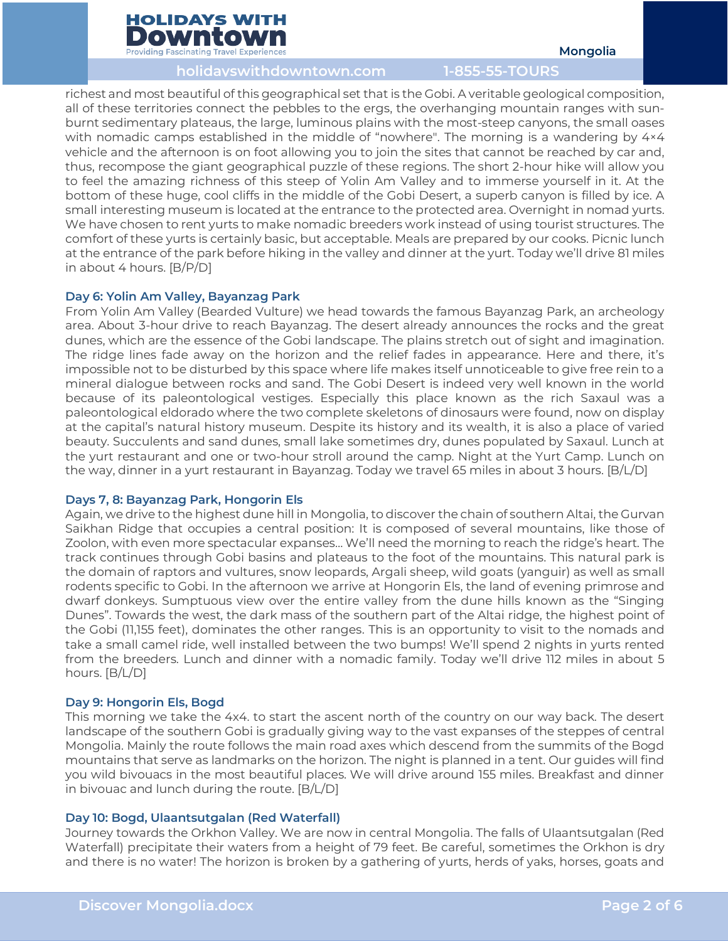

richest and most beautiful of this geographical set that is the Gobi. A veritable geological composition, all of these territories connect the pebbles to the ergs, the overhanging mountain ranges with sunburnt sedimentary plateaus, the large, luminous plains with the most-steep canyons, the small oases with nomadic camps established in the middle of "nowhere". The morning is a wandering by 4×4 vehicle and the afternoon is on foot allowing you to join the sites that cannot be reached by car and, thus, recompose the giant geographical puzzle of these regions. The short 2-hour hike will allow you to feel the amazing richness of this steep of Yolin Am Valley and to immerse yourself in it. At the bottom of these huge, cool cliffs in the middle of the Gobi Desert, a superb canyon is filled by ice. A small interesting museum is located at the entrance to the protected area. Overnight in nomad yurts. We have chosen to rent yurts to make nomadic breeders work instead of using tourist structures. The comfort of these yurts is certainly basic, but acceptable. Meals are prepared by our cooks. Picnic lunch at the entrance of the park before hiking in the valley and dinner at the yurt. Today we'll drive 81 miles in about 4 hours. [B/P/D]

# **Day 6: Yolin Am Valley, Bayanzag Park**

From Yolin Am Valley (Bearded Vulture) we head towards the famous Bayanzag Park, an archeology area. About 3-hour drive to reach Bayanzag. The desert already announces the rocks and the great dunes, which are the essence of the Gobi landscape. The plains stretch out of sight and imagination. The ridge lines fade away on the horizon and the relief fades in appearance. Here and there, it's impossible not to be disturbed by this space where life makes itself unnoticeable to give free rein to a mineral dialogue between rocks and sand. The Gobi Desert is indeed very well known in the world because of its paleontological vestiges. Especially this place known as the rich Saxaul was a paleontological eldorado where the two complete skeletons of dinosaurs were found, now on display at the capital's natural history museum. Despite its history and its wealth, it is also a place of varied beauty. Succulents and sand dunes, small lake sometimes dry, dunes populated by Saxaul. Lunch at the yurt restaurant and one or two-hour stroll around the camp. Night at the Yurt Camp. Lunch on the way, dinner in a yurt restaurant in Bayanzag. Today we travel 65 miles in about 3 hours. [B/L/D]

### **Days 7, 8: Bayanzag Park, Hongorin Els**

Again, we drive to the highest dune hill in Mongolia, to discover the chain of southern Altai, the Gurvan Saikhan Ridge that occupies a central position: It is composed of several mountains, like those of Zoolon, with even more spectacular expanses… We'll need the morning to reach the ridge's heart. The track continues through Gobi basins and plateaus to the foot of the mountains. This natural park is the domain of raptors and vultures, snow leopards, Argali sheep, wild goats (yanguir) as well as small rodents specific to Gobi. In the afternoon we arrive at Hongorin Els, the land of evening primrose and dwarf donkeys. Sumptuous view over the entire valley from the dune hills known as the "Singing Dunes". Towards the west, the dark mass of the southern part of the Altai ridge, the highest point of the Gobi (11,155 feet), dominates the other ranges. This is an opportunity to visit to the nomads and take a small camel ride, well installed between the two bumps! We'll spend 2 nights in yurts rented from the breeders. Lunch and dinner with a nomadic family. Today we'll drive 112 miles in about 5 hours. [B/L/D]

# **Day 9: Hongorin Els, Bogd**

This morning we take the 4x4. to start the ascent north of the country on our way back. The desert landscape of the southern Gobi is gradually giving way to the vast expanses of the steppes of central Mongolia. Mainly the route follows the main road axes which descend from the summits of the Bogd mountains that serve as landmarks on the horizon. The night is planned in a tent. Our guides will find you wild bivouacs in the most beautiful places. We will drive around 155 miles. Breakfast and dinner in bivouac and lunch during the route. [B/L/D]

### **Day 10: Bogd, Ulaantsutgalan (Red Waterfall)**

Journey towards the Orkhon Valley. We are now in central Mongolia. The falls of Ulaantsutgalan (Red Waterfall) precipitate their waters from a height of 79 feet. Be careful, sometimes the Orkhon is dry and there is no water! The horizon is broken by a gathering of yurts, herds of yaks, horses, goats and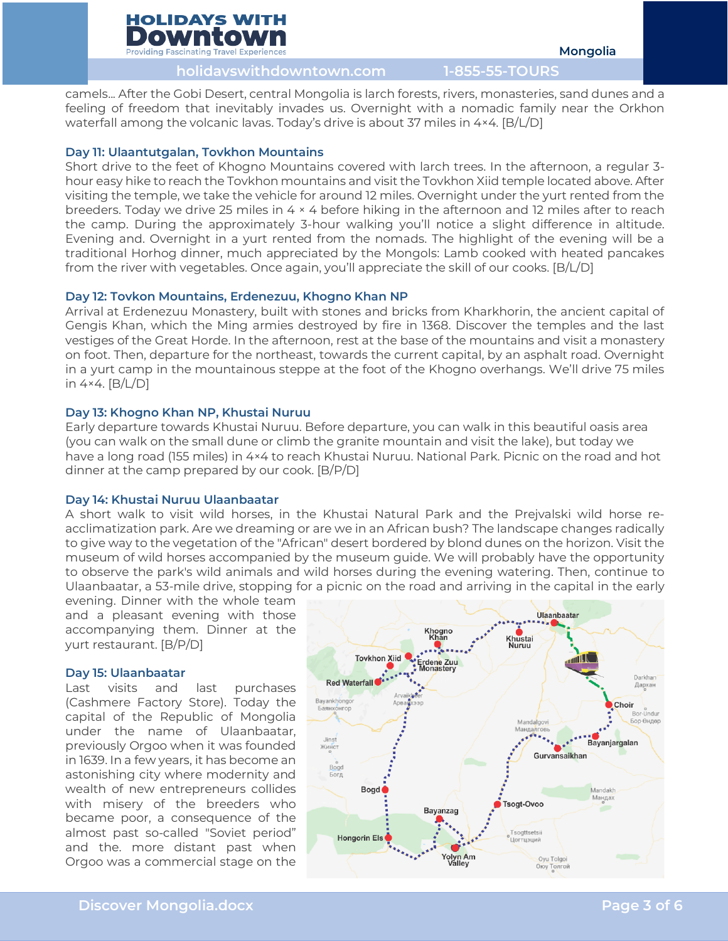

camels... After the Gobi Desert, central Mongolia is larch forests, rivers, monasteries, sand dunes and a feeling of freedom that inevitably invades us. Overnight with a nomadic family near the Orkhon waterfall among the volcanic lavas. Today's drive is about 37 miles in 4×4. [B/L/D]

# **Day 11: Ulaantutgalan, Tovkhon Mountains**

Short drive to the feet of Khogno Mountains covered with larch trees. In the afternoon, a regular 3 hour easy hike to reach the Tovkhon mountains and visit the Tovkhon Xiid temple located above. After visiting the temple, we take the vehicle for around 12 miles. Overnight under the yurt rented from the breeders. Today we drive 25 miles in 4 × 4 before hiking in the afternoon and 12 miles after to reach the camp. During the approximately 3-hour walking you'll notice a slight difference in altitude. Evening and. Overnight in a yurt rented from the nomads. The highlight of the evening will be a traditional Horhog dinner, much appreciated by the Mongols: Lamb cooked with heated pancakes from the river with vegetables. Once again, you'll appreciate the skill of our cooks. [B/L/D]

# **Day 12: Tovkon Mountains, Erdenezuu, Khogno Khan NP**

Arrival at Erdenezuu Monastery, built with stones and bricks from Kharkhorin, the ancient capital of Gengis Khan, which the Ming armies destroyed by fire in 1368. Discover the temples and the last vestiges of the Great Horde. In the afternoon, rest at the base of the mountains and visit a monastery on foot. Then, departure for the northeast, towards the current capital, by an asphalt road. Overnight in a yurt camp in the mountainous steppe at the foot of the Khogno overhangs. We'll drive 75 miles in 4×4. [B/L/D]

# **Day 13: Khogno Khan NP, Khustai Nuruu**

Early departure towards Khustai Nuruu. Before departure, you can walk in this beautiful oasis area (you can walk on the small dune or climb the granite mountain and visit the lake), but today we have a long road (155 miles) in 4×4 to reach Khustai Nuruu. National Park. Picnic on the road and hot dinner at the camp prepared by our cook. [B/P/D]

### **Day 14: Khustai Nuruu Ulaanbaatar**

A short walk to visit wild horses, in the Khustai Natural Park and the Prejvalski wild horse reacclimatization park. Are we dreaming or are we in an African bush? The landscape changes radically to give way to the vegetation of the "African" desert bordered by blond dunes on the horizon. Visit the museum of wild horses accompanied by the museum guide. We will probably have the opportunity to observe the park's wild animals and wild horses during the evening watering. Then, continue to Ulaanbaatar, a 53-mile drive, stopping for a picnic on the road and arriving in the capital in the early

evening. Dinner with the whole team and a pleasant evening with those accompanying them. Dinner at the yurt restaurant. [B/P/D]

### **Day 15: Ulaanbaatar**

Last visits and last purchases (Cashmere Factory Store). Today the capital of the Republic of Mongolia under the name of Ulaanbaatar, previously Orgoo when it was founded in 1639. In a few years, it has become an astonishing city where modernity and wealth of new entrepreneurs collides with misery of the breeders who became poor, a consequence of the almost past so-called "Soviet period" and the. more distant past when Orgoo was a commercial stage on the

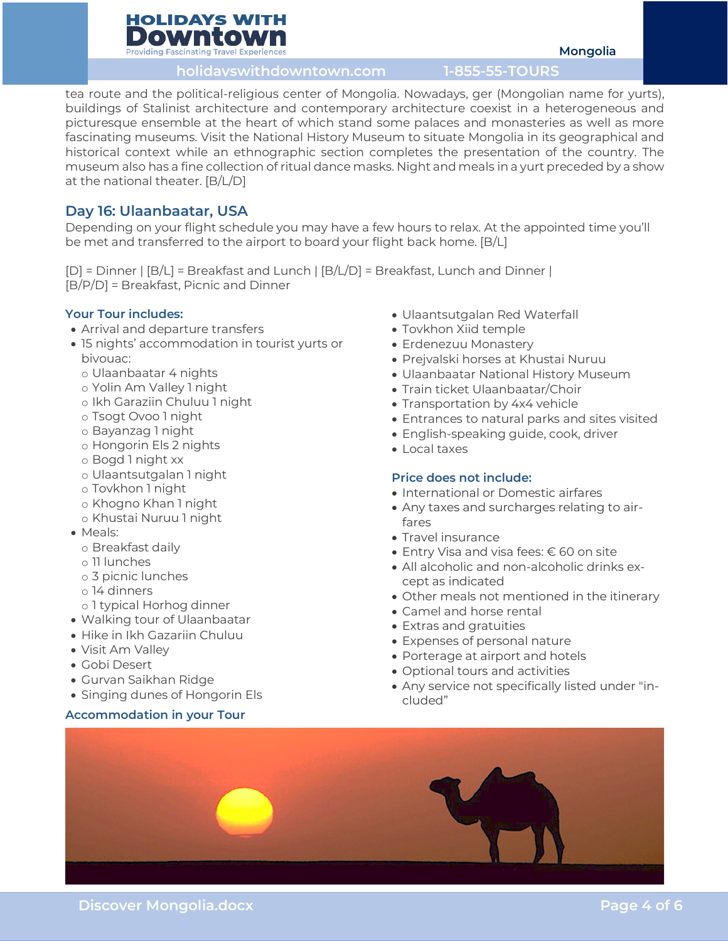# **HOLIDAYS WITH** Downto **Providing Fascinating Travel Experie**

**holidayswithdowntown.com 1-855-55-TOURS**

tea route and the political-religious center of Mongolia. Nowadays, ger (Mongolian name for yurts), buildings of Stalinist architecture and contemporary architecture coexist in a heterogeneous and picturesque ensemble at the heart of which stand some palaces and monasteries as well as more fascinating museums. Visit the National History Museum to situate Mongolia in its geographical and historical context while an ethnographic section completes the presentation of the country. The museum also has a fine collection of ritual dance masks. Night and meals in a yurt preceded by a show at the national theater. [B/L/D]

# **Day 16: Ulaanbaatar, USA**

Depending on your flight schedule you may have a few hours to relax. At the appointed time you'll be met and transferred to the airport to board your flight back home. [B/L]

[D] = Dinner | [B/L] = Breakfast and Lunch | [B/L/D] = Breakfast, Lunch and Dinner | [B/P/D] = Breakfast, Picnic and Dinner

# **Your Tour includes:**

- Arrival and departure transfers
- 15 nights' accommodation in tourist yurts or bivouac:
	- o Ulaanbaatar 4 nights
	- o Yolin Am Valley 1 night
	- o Ikh Garaziin Chuluu 1 night
	- o Tsogt Ovoo 1 night
	- o Bayanzag 1 night
	- o Hongorin Els 2 nights
	- o Bogd 1 night xx
	- o Ulaantsutgalan 1 night
	- o Tovkhon 1 night
	- o Khogno Khan 1 night
	- o Khustai Nuruu 1 night
- Meals:
	- o Breakfast daily
	- o 11 lunches
	- o 3 picnic lunches
	- o 14 dinners
- o 1 typical Horhog dinner
- Walking tour of Ulaanbaatar
- Hike in Ikh Gazariin Chuluu
- Visit Am Valley
- Gobi Desert
- Gurvan Saikhan Ridge
- Singing dunes of Hongorin Els

# **Accommodation in your Tour**

- Ulaantsutgalan Red Waterfall
- Tovkhon Xiid temple
- Erdenezuu Monastery
- Prejvalski horses at Khustai Nuruu
- Ulaanbaatar National History Museum
- Train ticket Ulaanbaatar/Choir
- Transportation by 4x4 vehicle
- Entrances to natural parks and sites visited
- English-speaking guide, cook, driver
- Local taxes

# **Price does not include:**

- International or Domestic airfares
- Any taxes and surcharges relating to airfares
- Travel insurance
- Entry Visa and visa fees: € 60 on site
- All alcoholic and non-alcoholic drinks except as indicated
- Other meals not mentioned in the itinerary
- Camel and horse rental
- Extras and gratuities
- Expenses of personal nature
- Porterage at airport and hotels
- Optional tours and activities
- Any service not specifically listed under "included"



**Mongolia**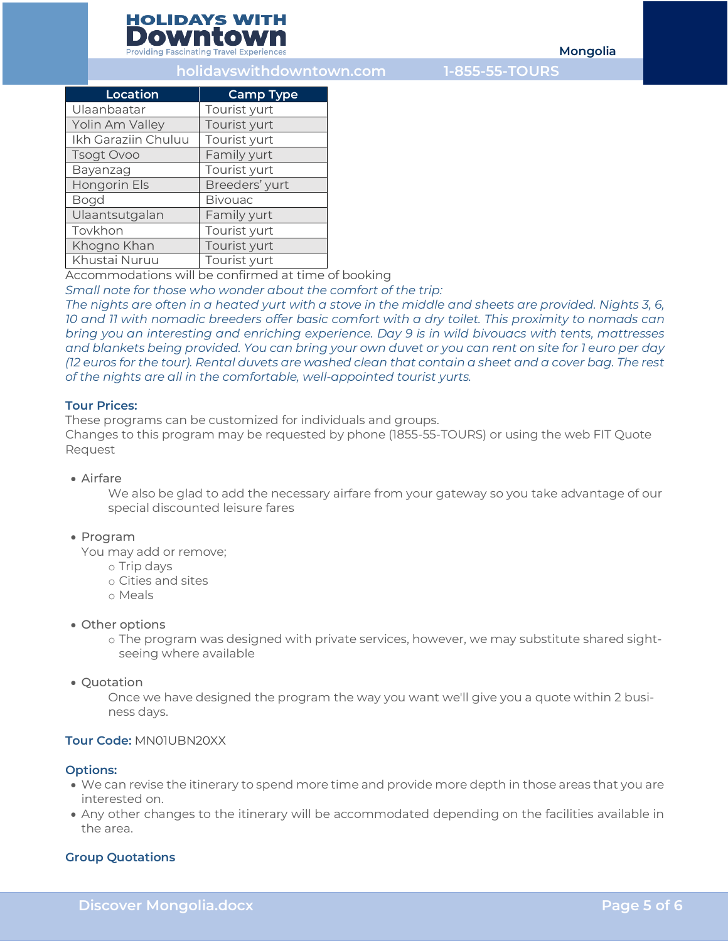

**Mongolia**

# **holidayswithdowntown.com 1-855-55-TOURS**

| Location            | <b>Camp Type</b> |
|---------------------|------------------|
| Ulaanbaatar         | Tourist yurt     |
| Yolin Am Valley     | Tourist yurt     |
| Ikh Garaziin Chuluu | Tourist yurt     |
| Tsogt Ovoo          | Family yurt      |
| Bayanzag            | Tourist yurt     |
| Hongorin Els        | Breeders' yurt   |
| <b>Bogd</b>         | <b>Bivouac</b>   |
| Ulaantsutgalan      | Family yurt      |
| Tovkhon             | Tourist yurt     |
| Khogno Khan         | Tourist yurt     |
| Khustai Nuruu       | Tourist yurt     |

Accommodations will be confirmed at time of booking

*Small note for those who wonder about the comfort of the trip:*

*The nights are often in a heated yurt with a stove in the middle and sheets are provided. Nights 3, 6, 10 and 11 with nomadic breeders offer basic comfort with a dry toilet. This proximity to nomads can bring you an interesting and enriching experience. Day 9 is in wild bivouacs with tents, mattresses and blankets being provided. You can bring your own duvet or you can rent on site for 1 euro per day (12 euros for the tour). Rental duvets are washed clean that contain a sheet and a cover bag. The rest of the nights are all in the comfortable, well-appointed tourist yurts.*

# **Tour Prices:**

These programs can be customized for individuals and groups.

Changes to this program may be requested by phone (1855-55-TOURS) or using the web FIT Quote Request

# • Airfare

We also be glad to add the necessary airfare from your gateway so you take advantage of our special discounted leisure fares

### • Program

You may add or remove;

- o Trip days
- o Cities and sites
- o Meals
- Other options
	- o The program was designed with private services, however, we may substitute shared sightseeing where available

### • Quotation

Once we have designed the program the way you want we'll give you a quote within 2 business days.

# **Tour Code:** MN01UBN20XX

### **Options:**

- We can revise the itinerary to spend more time and provide more depth in those areas that you are interested on.
- Any other changes to the itinerary will be accommodated depending on the facilities available in the area.

### **Group Quotations**